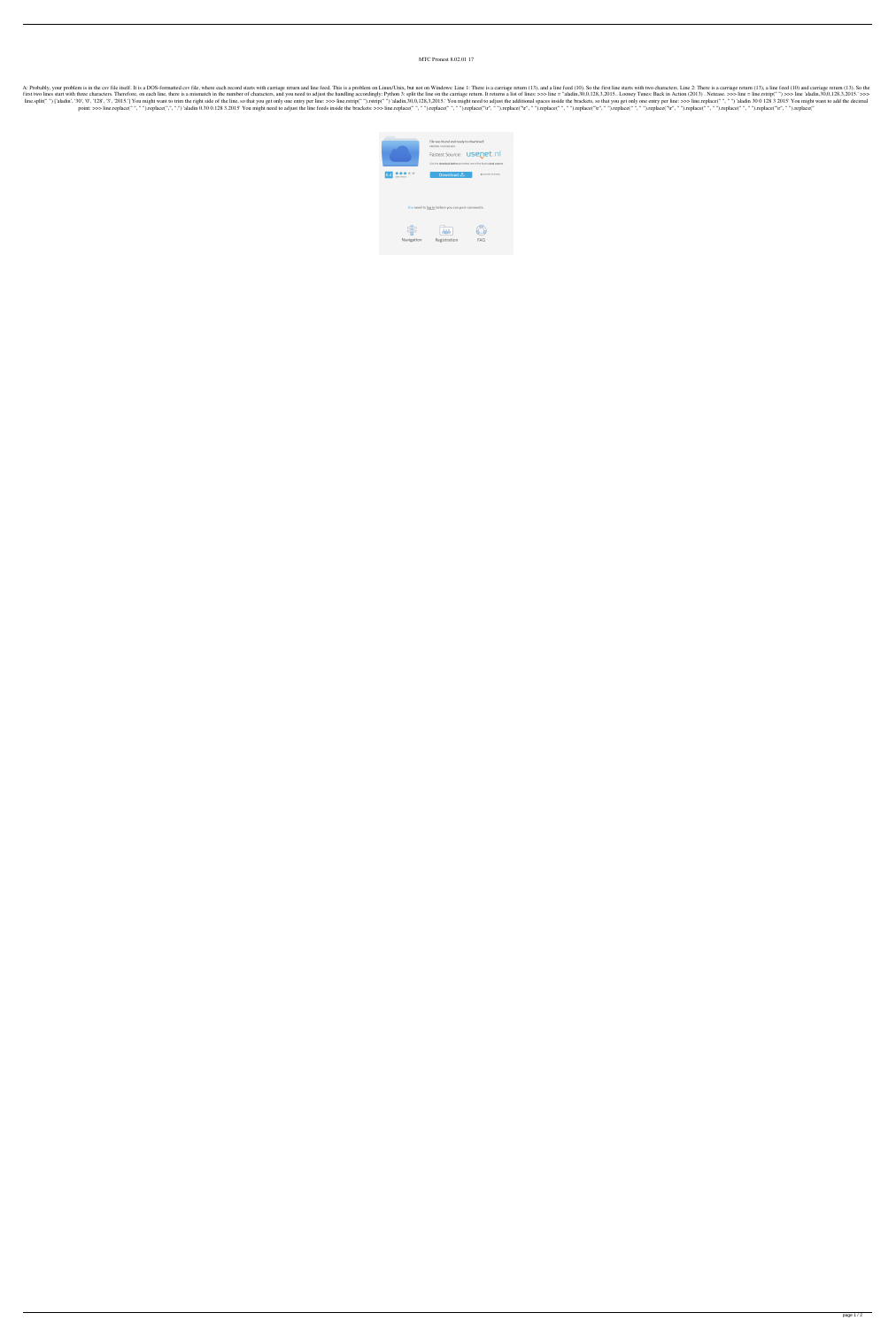## MTC Pronest 8.02.01 17

A: Probably, your problem is in the csv file itself. It is a DOS-formatted csv file, where each record starts with carriage return and line feed. This is a problem on Linux/Unix, but not on Windows: Line 1: There is a carr first two lines start with three characters. Therefore, on each line, there is a mismatch in the number of characters, and you need to adjust the handling accordingly: Python 3: split the line on the carriage return. It re Inc., split(" ") ['aladin', '30', '0', '128', '3', '2015.] You might want to trim the right side of the line, so that you get only one entry per line: >>> line.strip(" "). rstrip(" ") 'aladin,30,0,128,3,2015. You might nee point: >>> line.replace(" ", "").replace(",", ".") aladin 0.30 0.128 3.2015' You might need to adjust the line feeds inside the brackets: >>> line.replace(" ", "").replace("\r", "").replace(" ", "").replace("\r", "").repla

|                   | File was found and ready to download!<br>UPDATED 14 HOUES AGO        |                         |
|-------------------|----------------------------------------------------------------------|-------------------------|
|                   | Fastest Source: <b>USEDEt.</b> nl                                    |                         |
|                   | Click the download button and select one of the found cloud sources. |                         |
| 6.4<br>2865 VIEWS | Download L                                                           | <b>A SECURE SCANNED</b> |
|                   |                                                                      |                         |
|                   |                                                                      |                         |
|                   |                                                                      |                         |
|                   | You need to log in before you can post comments.                     |                         |
|                   |                                                                      |                         |
|                   | 000                                                                  |                         |
| Navigation        | Registration<br>FAQ                                                  |                         |
|                   |                                                                      |                         |